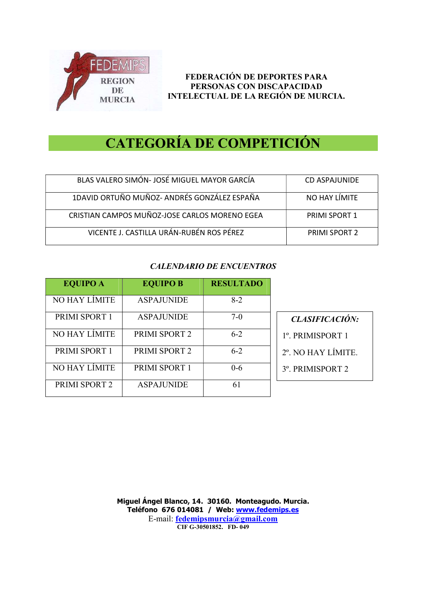

# CATEGORÍA DE COMPETICIÓN

| BLAS VALERO SIMÓN- JOSÉ MIGUEL MAYOR GARCÍA   | CD ASPAJUNIDE        |
|-----------------------------------------------|----------------------|
| 1DAVID ORTUÑO MUÑOZ- ANDRÉS GONZÁLEZ ESPAÑA   | NO HAY LÍMITE        |
| CRISTIAN CAMPOS MUÑOZ-JOSE CARLOS MORENO EGEA | <b>PRIMI SPORT 1</b> |
| VICENTE J. CASTILLA URÁN-RUBÉN ROS PÉREZ      | <b>PRIMI SPORT 2</b> |

#### CALENDARIO DE ENCUENTROS

|                   | <b>RESULTADO</b> | <b>EQUIPO B</b>   | <b>EQUIPO A</b> |
|-------------------|------------------|-------------------|-----------------|
|                   | $8-2$            | <b>ASPAJUNIDE</b> | NO HAY LÍMITE   |
| <b>CLASIF</b>     | $7-0$            | <b>ASPAJUNIDE</b> | PRIMI SPORT 1   |
| 1°. PRIMIS        | $6 - 2$          | PRIMI SPORT 2     | NO HAY LIMITE   |
| $2^\circ$ . NO HA | $6 - 2$          | PRIMI SPORT 2     | PRIMI SPORT 1   |
| 3°. PRIMIS        | $0 - 6$          | PRIMI SPORT 1     | NO HAY LÍMITE   |
|                   | 61               | <b>ASPAJUNIDE</b> | PRIMI SPORT 2   |

CLASIFICACIÓN:

1º. PRIMISPORT 1

2º. NO HAY LÍMITE.

3º. PRIMISPORT 2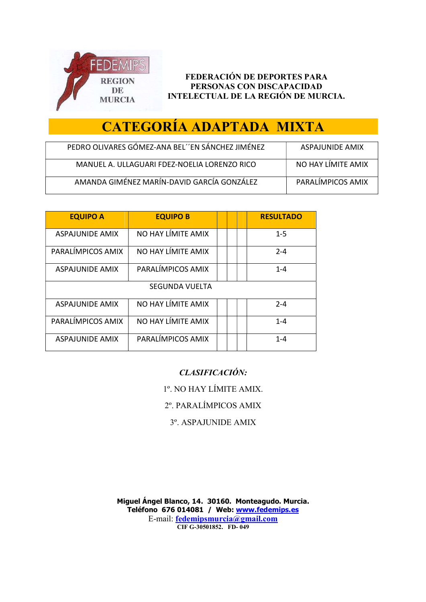

# CATEGORÍA ADAPTADA MIXTA

| PEDRO OLIVARES GOMEZ-ANA BEL''EN SÁNCHEZ JIMÉNEZ | ASPAILINIDE AMIX   |
|--------------------------------------------------|--------------------|
| MANUEL A. ULLAGUARI FDEZ-NOELIA LORENZO RICO     | NO HAY LIMITE AMIX |
| AMANDA GIMÉNEZ MARÍN-DAVID GARCÍA GONZÁLEZ       | PARALIMPICOS AMIX  |

| <b>EQUIPO A</b>        | <b>EQUIPO B</b>    | <b>RESULTADO</b> |
|------------------------|--------------------|------------------|
| ASPAJUNIDE AMIX        | NO HAY LÍMITE AMIX | $1 - 5$          |
| PARALÍMPICOS AMIX      | NO HAY LÍMITE AMIX | $2 - 4$          |
| <b>ASPAJUNIDE AMIX</b> | PARALÍMPICOS AMIX  | $1 - 4$          |
|                        | SEGUNDA VUELTA     |                  |
| <b>ASPAJUNIDE AMIX</b> | NO HAY LÍMITE AMIX | $2 - 4$          |
| PARALÍMPICOS AMIX      | NO HAY LÍMITE AMIX | $1 - 4$          |
| ASPAJUNIDE AMIX        | PARALÍMPICOS AMIX  | $1 - 4$          |

### CLASIFICACIÓN:

1º. NO HAY LÍMITE AMIX.

2º. PARALÍMPICOS AMIX

3º. ASPAJUNIDE AMIX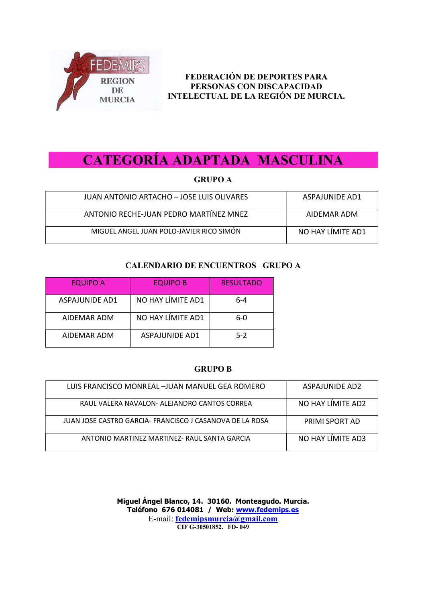

## CATEGORÍA ADAPTADA MASCULINA

#### GRUPO A

| JUAN ANTONIO ARTACHO - JOSE LUIS OLIVARES | ASPAJUNIDE AD1    |
|-------------------------------------------|-------------------|
| ANTONIO RECHE-JUAN PEDRO MARTÍNEZ MNEZ    | AIDEMAR ADM       |
| MIGUEL ANGEL JUAN POLO-JAVIER RICO SIMÓN  | NO HAY LIMITE AD1 |

#### CALENDARIO DE ENCUENTROS GRUPO A

| <b>EQUIPO A</b> | <b>EQUIPO B</b>       | <b>RESULTADO</b> |
|-----------------|-----------------------|------------------|
| ASPAJUNIDE AD1  | NO HAY LÍMITE AD1     | $6 - 4$          |
| AIDEMAR ADM     | NO HAY LÍMITE AD1     | 6-0              |
| AIDEMAR ADM     | <b>ASPAJUNIDE AD1</b> | $5-2$            |

#### GRUPO B

| LUIS FRANCISCO MONREAL –IUAN MANUEL GEA ROMERO           | ASPAIUNIDE AD2    |
|----------------------------------------------------------|-------------------|
| RAUL VALERA NAVALON- ALEJANDRO CANTOS CORREA             | NO HAY LIMITE AD2 |
| JUAN JOSE CASTRO GARCIA- FRANCISCO J CASANOVA DE LA ROSA | PRIMI SPORT AD    |
| ANTONIO MARTINEZ MARTINEZ- RAUL SANTA GARCIA             | NO HAY LÍMITE AD3 |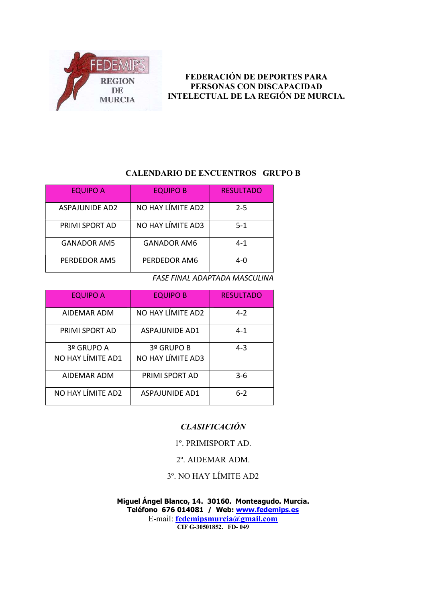

#### CALENDARIO DE ENCUENTROS GRUPO B

| <b>EQUIPO A</b>       | <b>EQUIPO B</b>    | <b>RESULTADO</b> |
|-----------------------|--------------------|------------------|
| <b>ASPAJUNIDE AD2</b> | NO HAY LÍMITE AD2  | $2 - 5$          |
| PRIMI SPORT AD        | NO HAY LÍMITE AD3  | $5-1$            |
| <b>GANADOR AM5</b>    | <b>GANADOR AM6</b> | $4 - 1$          |
| PERDEDOR AM5          | PERDEDOR AM6       | 4-0              |

#### FASE FINAL ADAPTADA MASCULINA

| <b>EQUIPO A</b>                 | <b>EQUIPO B</b>                 | <b>RESULTADO</b> |
|---------------------------------|---------------------------------|------------------|
| AIDEMAR ADM                     | NO HAY LÍMITE AD2               | $4 - 2$          |
| PRIMI SPORT AD                  | <b>ASPAJUNIDE AD1</b>           | $4 - 1$          |
| 3º GRUPO A<br>NO HAY LÍMITE AD1 | 3º GRUPO B<br>NO HAY LÍMITE AD3 | $4 - 3$          |
| AIDEMAR ADM                     | PRIMI SPORT AD                  | $3-6$            |
| NO HAY LÍMITE AD2               | <b>ASPAILINIDE AD1</b>          | $6-2$            |

#### **CLASIFICACIÓN**

#### 1º. PRIMISPORT AD.

#### 2º. AIDEMAR ADM.

#### 3º. NO HAY LÍMITE AD2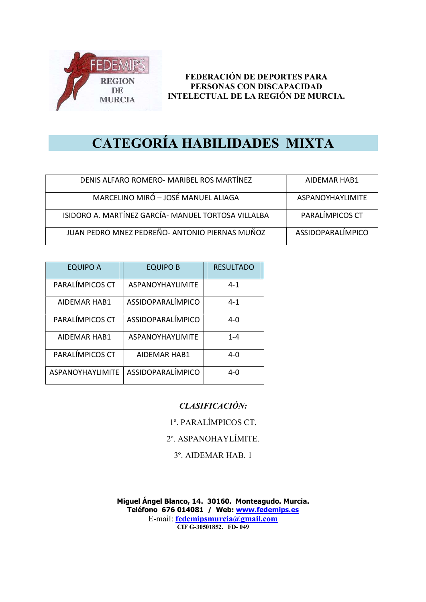

## CATEGORÍA HABILIDADES MIXTA

| DENIS ALFARO ROMERO- MARIBEL ROS MARTÍNEZ           | AIDEMAR HAB1            |
|-----------------------------------------------------|-------------------------|
| MARCELINO MIRÓ - JOSÉ MANUEL ALIAGA                 | <b>ASPANOYHAYLIMITE</b> |
| ISIDORO A. MARTÍNEZ GARCÍA- MANUEL TORTOSA VILLALBA | PARALÍMPICOS CT         |
| JUAN PEDRO MNEZ PEDREÑO- ANTONIO PIERNAS MUÑOZ      | ASSIDOPARALÍMPICO       |

| <b>EQUIPO A</b>         | <b>EQUIPO B</b>         | <b>RESULTADO</b> |
|-------------------------|-------------------------|------------------|
| PARALÍMPICOS CT         | <b>ASPANOYHAYLIMITE</b> | $4 - 1$          |
| AIDEMAR HAB1            | ASSIDOPARALÍMPICO       | $4 - 1$          |
| PARALÍMPICOS CT         | ASSIDOPARALÍMPICO       | $4 - 0$          |
| <b>AIDEMAR HAB1</b>     | <b>ASPANOYHAYLIMITE</b> | $1 - 4$          |
| PARALÍMPICOS CT         | <b>AIDEMAR HAB1</b>     | $4-0$            |
| <b>ASPANOYHAYLIMITE</b> | ASSIDOPARALÍMPICO       | $4 - 0$          |

#### CLASIFICACIÓN:

1º. PARALÍMPICOS CT.

2º. ASPANOHAYLÍMITE.

3º. AIDEMAR HAB. 1